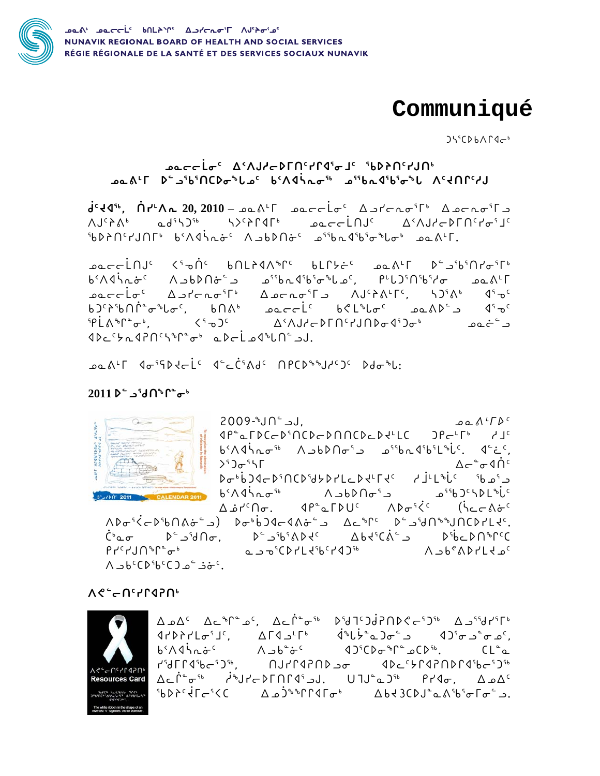

## Communiqué

 $J55CDBAT9c<sup>b</sup>$ 

## ᠊ᢦᡨᡄᡄ᠊ᡏ᠊ᡅ*ᡕ᠂*᠊᠀ᡒ᠈ᠮ᠄᠊ᢀᢧ᠑ᢣ᠈᠕᠈᠆᠈᠊ᢐ᠍ᢖ᠆ᡔᠴᡆ we A'L De albinCDoble bindinos affbrail nightyll

 $d^{c}$ <4",  $\hat{\Pi}r^{u}\Lambda_{n}$  20, 2010 -  $\Omega_{n}$  $\Lambda_{n}$   $\Gamma$   $\Omega_{n}$  $\Lambda J^c \lambda^6$  and  $\Lambda^5 J^{6}$  and  $\Lambda^6 J^6$  and  $\Lambda^7 J^2 J^{6}$  and  $\Lambda^8 J^6 J^6$  and  $\Lambda^8 J^6 J^6$  and  $\Lambda^8 J^6 J^6 J^7 J^8$ 1960°، 1960°، 1960°، 1960°، 1960°، 1960°، 1960°، 1960°، 1960°

آ اھ آ (1615-167) 1917-1916 – 1918-1916 – 1918-1916 – 1918-1916 – 1918-1916 – 1918-1916 – 1918-1916 – 19 **sacclo<sup>c</sup>** Apteno<sup>s</sup>F<sup>6</sup> Aseno<sup>s</sup>F<sub>2</sub> AJ<sup>6</sup>ALF<sup>c</sup>, SD<sup>5</sup>A<sup>6</sup>  $\sqrt{15} \cdot 2^6$  $bJ^cA^cb\cap \dot{\Gamma}^c\sigma^bL\sigma^c$ ,  $b\cap \Lambda^b$   $\sigma^c\sigma^cL^c$   $b\mathcal{L}^bL\sigma^c$   $\sigma^c\Lambda^c\sigma^c$  $5P \dot{L} \Lambda^2 \Gamma^2 \sigma^6$ ,  $(5P \dot{L} \Lambda^3 \Gamma^2 \sigma^6)$ د ٔخممد ۵٬۶۵۰۵٬۵۵۰۵٬۵۰۰۵ می د ٔخ  $4Dc^{c}b^{2}d^{2}\Omega^{c}b^{b}f^{a}\sigma^{b}$  and i.e.s. and i.e.

**ےممک<sup>ر</sup> 7 جوان کے جوانہ کے انتظار کے مطابق کے مناسب کے انتظار کے انتظار کے انتظار کے انتظار کے انتظار کے انتظا**ر

## 2011  $\triangleright$  -  $\cdot$   $\cdot$   $\cdot$   $\cdot$   $\cdot$   $\cdot$   $\cdot$



. لږ <sup>۱</sup>∩ل<sup>ه</sup>-2009  $\Omega \Omega \Lambda$  د $\Gamma$ ه د 1P<sup>e</sup>aFDCcD<sup>5</sup>NCDcDNNCDcDdLLC JPcLFb dJC  $b^{\varsigma}\Lambda$ 95  $\Lambda$   $\sigma$ <sup>56</sup>  $\Lambda$   $\Delta$  $b$  $\Lambda$  $\sigma$ <sup>5</sup>  $\Delta$   $\sigma$ <sub>5</sub><sup>5</sup>  $\Lambda$ <sub>5</sub>  $\sigma$ <sub>5</sub>  $\sigma$ <sub>5</sub>  $\sigma$ <sub>5</sub>  $\sigma$ <sub>5</sub>  $\sigma$ <sub>5</sub>  $\sigma$ <sub>5</sub>  $\sigma$ <sub>5</sub>  $\sigma$ <sub>5</sub>  $\sigma$ <sub>5</sub>  $\sigma$ <sub>5</sub>  $\sigma$ <sub>5</sub>  $\sigma$ <sub>5</sub>  $\sigma$ <sub>5</sub>  $\sigma$ <sub>5</sub>  $\sigma$ <sub>5</sub>  $\sigma$ <sub>5</sub>  $\sigma$ <sub>5</sub>  $\sigma$ <sub>5</sub>  $\sigma$  $>50$ ᠘ᡕ᠂ᢐ᠀ᡬ  $D\sigma^b\bar{b}$  $D\{C\}^cD^c\cap C\bar{D}^c\}$  $D\bar{C}C\bar{D}^c\{C\}$  $D\bar{C}C\bar{C}^c$   $D\bar{D}^c\bar{D}^c$  $65.14$  $1.41$  $1.61$  $1.61$  $1.61$  $1.61$  $1.61$  $1.61$  $1.61$  $1.61$  $1.61$  $1.61$  $1.61$  $1.61$  $\Delta \dot{\omega} t^c \Omega \dot{\sigma}$ ,  $\Delta P^c \Delta \Gamma D U^c$   $\Delta P^c \dot{\zeta}^c$   $(\dot{\zeta}^c - \Delta \dot{\sigma}^c)$  $\Lambda$  $\sigma$ <sup>5</sup> $\dot{\zeta}$  $\sigma$  $\chi$  $\sigma$  $\chi$  $\sigma$  $\chi$  $\sigma$  $\chi$  $\sigma$  $\chi$  $\sigma$  $\chi$  $\sigma$  $\chi$  $\sigma$  $\chi$  $\sigma$  $\chi$  $\sigma$  $\chi$  $\sigma$  $\chi$  $\sigma$  $\chi$  $\sigma$  $\chi$  $\sigma$  $\chi$  $\sigma$  $\chi$  $\sigma$  $\chi$  $\sigma$  $\chi$  $\sigma$  $\chi$  $\sigma$  $\chi$  $\sigma$  $\chi$  $\sigma$  $\chi$  $\sigma$  $\chi$  $\sigma$  $\chi$  $\sigma$  $\chi$  $\sigma$  $\chi$  $\$  $\dot{C}^b$ ωσ  $D^c$   $D^c$   $D^c$   $D^c$   $D^c$   $D^c$   $D^c$   $D^c$   $D^c$   $D^c$   $D^c$   $D^c$   $D^c$   $D^c$   $D^c$   $D^c$   $D^c$   $D^c$   $D^c$   $D^c$   $D^c$   $D^c$   $D^c$   $D^c$   $D^c$   $D^c$   $D^c$   $D^c$   $D^c$   $D^c$   $D^c$   $D^c$   $D^c$   $D^c$   $D^c$  $P$   $P^c$   $P$   $J$   $\bigcap$   $P^c$   $P^c$   $\sigma^b$ مے ہ<sup>9</sup>CD۲L۲<sup>۹</sup>۵۲۲۵۰۰ متر ۸٫۵۵۴۵۲۲۵۰ متر ه  $A = b^c C D^s b^c C D$ ة "a - b  $^c$ .

 $10501520$ 



٩٢٧٨٢١٥ - ٩٦٤ - ٩٠٤) ٩٠٤ - ٩٦٤-٩٢٢٥ م - ٩٢٥٨٢١٥ - ٩٢٧٨٩٢٨ - ٩٢٧٨ - ٩٢٧٨ - ٩٢٠٥ - ٩٦٠<br>١٤٠٤ - ٩٥٤٠٤ - ٩٥٤٢٥ - ٩٥٤٢٥ - ٩٢٠ ∆د۱ُ°⊸ ، مكانحكا∩۱۹ ،لد كانال مكانه مكمك <sup>۹</sup>۵۵٬۶<sup>۰</sup>۹٬۲۵٬۶۰۰ A۵<sup>۹٬</sup>۴۲۹۲٬۰۰۰ A۵۲۹۵٬۵۰۰٬۵۰۰ می